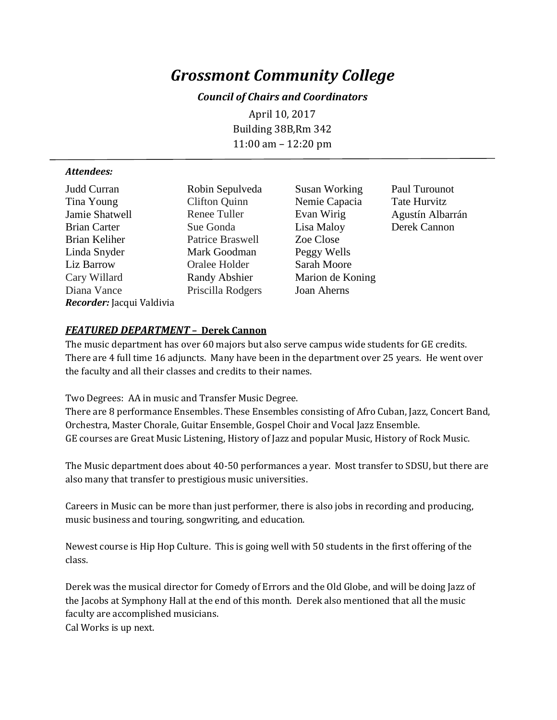# *Grossmont Community College*

## *Council of Chairs and Coordinators*

April 10, 2017 Building 38B,Rm 342 11:00 am – 12:20 pm

#### *Attendees:*

| Judd Curran               | Robin Sep   |
|---------------------------|-------------|
| Tina Young                | Clifton Qu  |
| Jamie Shatwell            | Renee Tul   |
| <b>Brian Carter</b>       | Sue Gonda   |
| Brian Keliher             | Patrice Bra |
| Linda Snyder              | Mark Goo    |
| Liz Barrow                | Oralee Ho   |
| Cary Willard              | Randy Ab    |
| Diana Vance               | Priscilla R |
| Recorder: Jacqui Valdivia |             |
|                           |             |

inn Nemie Capacia Tate Hurvitz ler Evan Wirig Agustín Albarrán a Lisa Maloy Derek Cannon aswell Zoe Close dman Peggy Wells lder Sarah Moore shier Marion de Koning odgers Joan Aherns

hudweda Susan Working Paul Turounot

## *FEATURED DEPARTMENT* **– Derek Cannon**

The music department has over 60 majors but also serve campus wide students for GE credits. There are 4 full time 16 adjuncts. Many have been in the department over 25 years. He went over the faculty and all their classes and credits to their names.

Two Degrees: AA in music and Transfer Music Degree.

There are 8 performance Ensembles. These Ensembles consisting of Afro Cuban, Jazz, Concert Band, Orchestra, Master Chorale, Guitar Ensemble, Gospel Choir and Vocal Jazz Ensemble. GE courses are Great Music Listening, History of Jazz and popular Music, History of Rock Music.

The Music department does about 40-50 performances a year. Most transfer to SDSU, but there are also many that transfer to prestigious music universities.

Careers in Music can be more than just performer, there is also jobs in recording and producing, music business and touring, songwriting, and education.

Newest course is Hip Hop Culture. This is going well with 50 students in the first offering of the class.

Derek was the musical director for Comedy of Errors and the Old Globe, and will be doing Jazz of the Jacobs at Symphony Hall at the end of this month. Derek also mentioned that all the music faculty are accomplished musicians. Cal Works is up next.